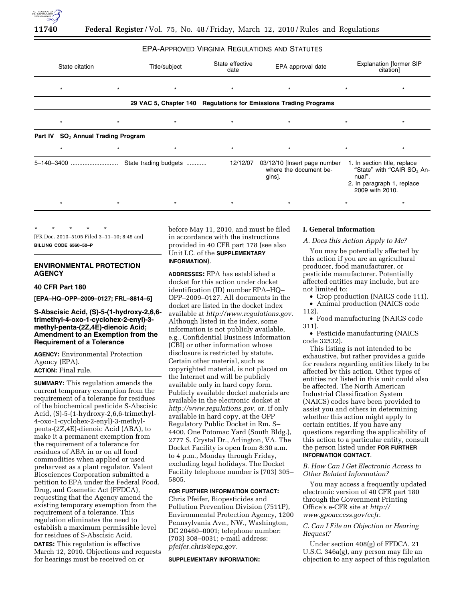

# EPA-APPROVED VIRGINIA REGULATIONS AND STATUTES

| State citation                                 |         | Title/subject                     | State effective<br>date | EPA approval date                                                |         | <b>Explanation [former SIP</b><br>citation]                                                                             |
|------------------------------------------------|---------|-----------------------------------|-------------------------|------------------------------------------------------------------|---------|-------------------------------------------------------------------------------------------------------------------------|
| $\star$                                        | $\star$ | $\star$                           | $\star$                 | $\star$                                                          | $\star$ | $\star$                                                                                                                 |
|                                                |         |                                   |                         | 29 VAC 5, Chapter 140 Regulations for Emissions Trading Programs |         |                                                                                                                         |
| $\star$                                        | $\star$ | $\star$                           | $\star$                 | $\star$                                                          | $\star$ | $\star$                                                                                                                 |
| Part IV SO <sub>2</sub> Annual Trading Program |         |                                   |                         |                                                                  |         |                                                                                                                         |
| $\star$                                        | $\star$ | $\star$                           | $\star$                 | $\star$                                                          | $\star$ | $\star$                                                                                                                 |
|                                                |         | 5-140-3400  State trading budgets | 12/12/07                | 03/12/10 [Insert page number<br>where the document be-<br>gins]. | nual".  | 1. In section title, replace<br>"State" with "CAIR SO <sub>2</sub> An-<br>2. In paragraph 1, replace<br>2009 with 2010. |
| $\star$                                        | $\star$ | $\star$                           | $\star$                 | $\star$                                                          | $\star$ | $\star$                                                                                                                 |
|                                                |         |                                   |                         |                                                                  |         |                                                                                                                         |

\* \* \* \* \* [FR Doc. 2010–5105 Filed 3–11–10; 8:45 am]

**BILLING CODE 6560–50–P** 

# **ENVIRONMENTAL PROTECTION AGENCY**

# **40 CFR Part 180**

**[EPA–HQ–OPP–2009–0127; FRL–8814–5]** 

# **S-Abscisic Acid, (S)-5-(1-hydroxy-2,6,6 trimethyl-4-oxo-1-cyclohex-2-enyl)-3 methyl-penta-(2Z,4E)-dienoic Acid; Amendment to an Exemption from the Requirement of a Tolerance**

**AGENCY:** Environmental Protection Agency (EPA). **ACTION:** Final rule.

**SUMMARY:** This regulation amends the current temporary exemption from the requirement of a tolerance for residues of the biochemical pesticide S-Abscisic Acid, (S)-5-(1-hydroxy-2,6,6-trimethyl-4-oxo-1-cyclohex-2-enyl)-3-methylpenta-(2Z,4E)-dienoic Acid (ABA), to make it a permanent exemption from the requirement of a tolerance for residues of ABA in or on all food commodities when applied or used preharvest as a plant regulator. Valent Biosciences Corporation submitted a petition to EPA under the Federal Food, Drug, and Cosmetic Act (FFDCA), requesting that the Agency amend the existing temporary exemption from the requirement of a tolerance. This regulation eliminates the need to establish a maximum permissible level for residues of S-Abscisic Acid.

**DATES:** This regulation is effective March 12, 2010. Objections and requests for hearings must be received on or

before May 11, 2010, and must be filed in accordance with the instructions provided in 40 CFR part 178 (see also Unit I.C. of the **SUPPLEMENTARY INFORMATION**).

**ADDRESSES:** EPA has established a docket for this action under docket identification (ID) number EPA–HQ– OPP–2009–0127. All documents in the docket are listed in the docket index available at *http://www.regulations.gov*. Although listed in the index, some information is not publicly available, e.g., Confidential Business Information (CBI) or other information whose disclosure is restricted by statute. Certain other material, such as copyrighted material, is not placed on the Internet and will be publicly available only in hard copy form. Publicly available docket materials are available in the electronic docket at *http://www.regulations.gov*, or, if only available in hard copy, at the OPP Regulatory Public Docket in Rm. S– 4400, One Potomac Yard (South Bldg.), 2777 S. Crystal Dr., Arlington, VA. The Docket Facility is open from 8:30 a.m. to 4 p.m., Monday through Friday, excluding legal holidays. The Docket Facility telephone number is (703) 305– 5805.

## **FOR FURTHER INFORMATION CONTACT:**

Chris Pfeifer, Biopesticides and Pollution Prevention Division (7511P), Environmental Protection Agency, 1200 Pennsylvania Ave., NW., Washington, DC 20460–0001; telephone number: (703) 308–0031; e-mail address: *pfeifer.chris@epa.gov*.

#### **SUPPLEMENTARY INFORMATION:**

# **I. General Information**

#### *A. Does this Action Apply to Me?*

You may be potentially affected by this action if you are an agricultural producer, food manufacturer, or pesticide manufacturer. Potentially affected entities may include, but are not limited to:

- Crop production (NAICS code 111).
- Animal production (NAICS code 112).

• Food manufacturing (NAICS code 311).

• Pesticide manufacturing (NAICS code 32532).

This listing is not intended to be exhaustive, but rather provides a guide for readers regarding entities likely to be affected by this action. Other types of entities not listed in this unit could also be affected. The North American Industrial Classification System (NAICS) codes have been provided to assist you and others in determining whether this action might apply to certain entities. If you have any questions regarding the applicability of this action to a particular entity, consult the person listed under **FOR FURTHER INFORMATION CONTACT**.

*B. How Can I Get Electronic Access to Other Related Information?* 

You may access a frequently updated electronic version of 40 CFR part 180 through the Government Printing Office's e-CFR site at *http:// www.gpoaccess.gov/ecfr*.

# *C. Can I File an Objection or Hearing Request?*

Under section 408(g) of FFDCA, 21 U.S.C. 346a(g), any person may file an objection to any aspect of this regulation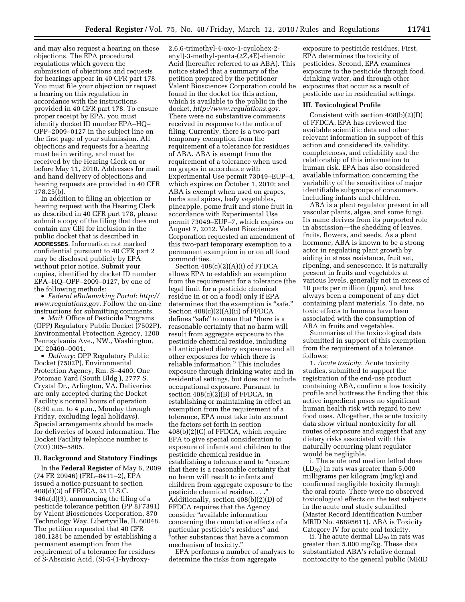and may also request a hearing on those objections. The EPA procedural regulations which govern the submission of objections and requests for hearings appear in 40 CFR part 178. You must file your objection or request a hearing on this regulation in accordance with the instructions provided in 40 CFR part 178. To ensure proper receipt by EPA, you must identify docket ID number EPA–HQ– OPP–2009–0127 in the subject line on the first page of your submission. All objections and requests for a hearing must be in writing, and must be received by the Hearing Clerk on or before May 11, 2010. Addresses for mail and hand delivery of objections and hearing requests are provided in 40 CFR 178.25(b).

In addition to filing an objection or hearing request with the Hearing Clerk as described in 40 CFR part 178, please submit a copy of the filing that does not contain any CBI for inclusion in the public docket that is described in **ADDRESSES**. Information not marked confidential pursuant to 40 CFR part 2 may be disclosed publicly by EPA without prior notice. Submit your copies, identified by docket ID number EPA–HQ–OPP–2009–0127, by one of the following methods:

• *Federal eRulemaking Portal*: *http:// www.regulations.gov*. Follow the on-line instructions for submitting comments.

• *Mail*: Office of Pesticide Programs (OPP) Regulatory Public Docket (7502P), Environmental Protection Agency, 1200 Pennsylvania Ave., NW., Washington, DC 20460–0001.

• *Delivery*: OPP Regulatory Public Docket (7502P), Environmental Protection Agency, Rm. S–4400, One Potomac Yard (South Bldg.), 2777 S. Crystal Dr., Arlington, VA. Deliveries are only accepted during the Docket Facility's normal hours of operation (8:30 a.m. to 4 p.m., Monday through Friday, excluding legal holidays). Special arrangements should be made for deliveries of boxed information. The Docket Facility telephone number is (703) 305–5805.

## **II. Background and Statutory Findings**

In the **Federal Register** of May 6, 2009 (74 FR 20946) (FRL–8411–2), EPA issued a notice pursuant to section 408(d)(3) of FFDCA, 21 U.S.C. 346a(d)(3), announcing the filing of a pesticide tolerance petition (PP 8F7391) by Valent Biosciences Corporation, 870 Technology Way, Libertyville, IL 60048. The petition requested that 40 CFR 180.1281 be amended by establishing a permanent exemption from the requirement of a tolerance for residues of S-Abscisic Acid, (S)-5-(1-hydroxy2,6,6-trimethyl-4-oxo-1-cyclohex-2 enyl)-3-methyl-penta-(2Z,4E)-dienoic Acid (hereafter referred to as ABA). This notice stated that a summary of the petition prepared by the petitioner Valent Biosciences Corporation could be found in the docket for this action, which is available to the public in the docket, *http://www.regulations.gov*. There were no substantive comments received in response to the notice of filing. Currently, there is a two-part temporary exemption from the requirement of a tolerance for residues of ABA. ABA is exempt from the requirement of a tolerance when used on grapes in accordance with Experimental Use permit 73049–EUP–4, which expires on October 1, 2010; and ABA is exempt when used on grapes, herbs and spices, leafy vegetables, pineapple, pome fruit and stone fruit in accordance with Experimental Use permit 73049–EUP–7, which expires on August 7, 2012. Valent Biosciences Corporation requested an amendment of this two-part temporary exemption to a permanent exemption in or on all food commodities.

Section 408(c)(2)(A)(i) of FFDCA allows EPA to establish an exemption from the requirement for a tolerance (the legal limit for a pesticide chemical residue in or on a food) only if EPA determines that the exemption is "safe." Section 408(c)(2)(A)(ii) of FFDCA defines "safe" to mean that "there is a reasonable certainty that no harm will result from aggregate exposure to the pesticide chemical residue, including all anticipated dietary exposures and all other exposures for which there is reliable information.'' This includes exposure through drinking water and in residential settings, but does not include occupational exposure. Pursuant to section 408(c)(2)(B) of FFDCA, in establishing or maintaining in effect an exemption from the requirement of a tolerance, EPA must take into account the factors set forth in section 408(b)(2)(C) of FFDCA, which require EPA to give special consideration to exposure of infants and children to the pesticide chemical residue in establishing a tolerance and to ''ensure that there is a reasonable certainty that no harm will result to infants and children from aggregate exposure to the pesticide chemical residue. . . .'' Additionally, section 408(b)(2)(D) of FFDCA requires that the Agency consider ''available information concerning the cumulative effects of a particular pesticide's residues'' and ''other substances that have a common mechanism of toxicity.''

EPA performs a number of analyses to determine the risks from aggregate

exposure to pesticide residues. First, EPA determines the toxicity of pesticides. Second, EPA examines exposure to the pesticide through food, drinking water, and through other exposures that occur as a result of pesticide use in residential settings.

#### **III. Toxicological Profile**

Consistent with section 408(b)(2)(D) of FFDCA, EPA has reviewed the available scientific data and other relevant information in support of this action and considered its validity, completeness, and reliability and the relationship of this information to human risk. EPA has also considered available information concerning the variability of the sensitivities of major identifiable subgroups of consumers, including infants and children.

ABA is a plant regulator present in all vascular plants, algae, and some fungi. Its name derives from its purported role in abscission—the shedding of leaves, fruits, flowers, and seeds. As a plant hormone, ABA is known to be a strong actor in regulating plant growth by aiding in stress resistance, fruit set, ripening, and senescence. It is naturally present in fruits and vegetables at various levels, generally not in excess of 10 parts per million (ppm), and has always been a component of any diet containing plant materials. To date, no toxic effects to humans have been associated with the consumption of ABA in fruits and vegetables.

Summaries of the toxicological data submitted in support of this exemption from the requirement of a tolerance follows:

1. *Acute toxicity*. Acute toxicity studies, submitted to support the registration of the end-use product containing ABA, confirm a low toxicity profile and buttress the finding that this active ingredient poses no significant human health risk with regard to new food uses. Altogether, the acute toxicity data show virtual nontoxicity for all routes of exposure and suggest that any dietary risks associated with this naturally occurring plant regulator would be negligible.

i. The acute oral median lethal dose  $(LD_{50})$  in rats was greater than 5,000 milligrams per kilogram (mg/kg) and confirmed negligible toxicity through the oral route. There were no observed toxicological effects on the test subjects in the acute oral study submitted (Master Record Identification Number MRID No. 46895611). ABA is Toxicity Category IV for acute oral toxicity.

ii. The acute dermal  $LD_{50}$  in rats was greater than 5,000 mg/kg. These data substantiated ABA's relative dermal nontoxicity to the general public (MRID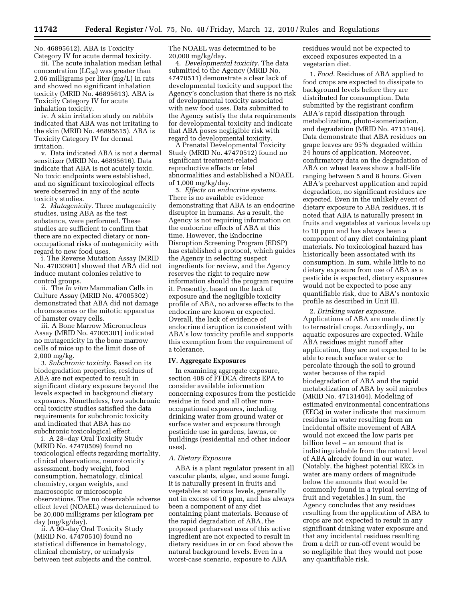No. 46895612). ABA is Toxicity Category IV for acute dermal toxicity.

iii. The acute inhalation median lethal concentration  $(LC_{50})$  was greater than 2.06 milligrams per liter (mg/L) in rats and showed no significant inhalation toxicity (MRID No. 46895613). ABA is Toxicity Category IV for acute inhalation toxicity.

iv. A skin irritation study on rabbits indicated that ABA was not irritating to the skin (MRID No. 46895615). ABA is Toxicity Category IV for dermal irritation.

v. Data indicated ABA is not a dermal sensitizer (MRID No. 46895616). Data indicate that ABA is not acutely toxic. No toxic endpoints were established, and no significant toxicological effects were observed in any of the acute toxicity studies.

2. *Mutagenicity*. Three mutagenicity studies, using ABA as the test substance, were performed. These studies are sufficient to confirm that there are no expected dietary or nonoccupational risks of mutagenicity with regard to new food uses.

i. The Reverse Mutation Assay (MRID No. 47030901) showed that ABA did not induce mutant colonies relative to control groups.

ii. The *In vitro* Mammalian Cells in Culture Assay (MRID No. 47005302) demonstrated that ABA did not damage chromosomes or the mitotic apparatus of hamster ovary cells.

iii. A Bone Marrow Micronucleus Assay (MRID No. 47005301) indicated no mutagenicity in the bone marrow cells of mice up to the limit dose of 2,000 mg/kg.

3. *Subchronic toxicity*. Based on its biodegradation properties, residues of ABA are not expected to result in significant dietary exposure beyond the levels expected in background dietary exposures. Nonetheless, two subchronic oral toxicity studies satisfied the data requirements for subchronic toxicity and indicated that ABA has no subchronic toxicological effect.

i. A 28–day Oral Toxicity Study (MRID No. 47470509) found no toxicological effects regarding mortality, clinical observations, neurotoxicity assessment, body weight, food consumption, hematology, clinical chemistry, organ weights, and macroscopic or microscopic observations. The no observable adverse effect level (NOAEL) was determined to be 20,000 milligrams per kilogram per day (mg/kg/day).

ii. A 90–day Oral Toxicity Study (MRID No. 47470510) found no statistical difference in hematology, clinical chemistry, or urinalysis between test subjects and the control. The NOAEL was determined to be 20,000 mg/kg/day.

4. *Developmental toxicity*. The data submitted to the Agency (MRID No. 47470511) demonstrate a clear lack of developmental toxicity and support the Agency's conclusion that there is no risk of developmental toxicity associated with new food uses. Data submitted to the Agency satisfy the data requirements for developmental toxicity and indicate that ABA poses negligible risk with regard to developmental toxicity.

A Prenatal Developmental Toxicity Study (MRID No. 47470512) found no significant treatment-related reproductive effects or fetal abnormalities and established a NOAEL of 1,000 mg/kg/day.

5. *Effects on endocrine systems*. There is no available evidence demonstrating that ABA is an endocrine disruptor in humans. As a result, the Agency is not requiring information on the endocrine effects of ABA at this time. However, the Endocrine Disruption Screening Program (EDSP) has established a protocol, which guides the Agency in selecting suspect ingredients for review, and the Agency reserves the right to require new information should the program require it. Presently, based on the lack of exposure and the negligible toxicity profile of ABA, no adverse effects to the endocrine are known or expected. Overall, the lack of evidence of endocrine disruption is consistent with ABA's low toxicity profile and supports this exemption from the requirement of a tolerance.

### **IV. Aggregate Exposures**

In examining aggregate exposure, section 408 of FFDCA directs EPA to consider available information concerning exposures from the pesticide residue in food and all other nonoccupational exposures, including drinking water from ground water or surface water and exposure through pesticide use in gardens, lawns, or buildings (residential and other indoor uses).

#### *A. Dietary Exposure*

ABA is a plant regulator present in all vascular plants, algae, and some fungi. It is naturally present in fruits and vegetables at various levels, generally not in excess of 10 ppm, and has always been a component of any diet containing plant materials. Because of the rapid degradation of ABA, the proposed preharvest uses of this active ingredient are not expected to result in dietary residues in or on food above the natural background levels. Even in a worst-case scenario, exposure to ABA

residues would not be expected to exceed exposures expected in a vegetarian diet.

1. *Food*. Residues of ABA applied to food crops are expected to dissipate to background levels before they are distributed for consumption. Data submitted by the registrant confirm ABA's rapid dissipation through metabolization, photo-isomerization, and degradation (MRID No. 47131404). Data demonstrate that ABA residues on grape leaves are 95% degraded within 24 hours of application. Moreover, confirmatory data on the degradation of ABA on wheat leaves show a half-life ranging between 5 and 8 hours. Given ABA's preharvest application and rapid degradation, no significant residues are expected. Even in the unlikely event of dietary exposure to ABA residues, it is noted that ABA is naturally present in fruits and vegetables at various levels up to 10 ppm and has always been a component of any diet containing plant materials. No toxicological hazard has historically been associated with its consumption. In sum, while little to no dietary exposure from use of ABA as a pesticide is expected, dietary exposures would not be expected to pose any quantifiable risk, due to ABA's nontoxic profile as described in Unit III.

2. *Drinking water exposure*. Applications of ABA are made directly to terrestrial crops. Accordingly, no aquatic exposures are expected. While ABA residues might runoff after application, they are not expected to be able to reach surface water or to percolate through the soil to ground water because of the rapid biodegradation of ABA and the rapid metabolization of ABA by soil microbes (MRID No. 47131404). Modeling of estimated environmental concentrations (EECs) in water indicate that maximum residues in water resulting from an incidental offsite movement of ABA would not exceed the low parts per billion level – an amount that is indistinguishable from the natural level of ABA already found in our water. (Notably, the highest potential EECs in water are many orders of magnitude below the amounts that would be commonly found in a typical serving of fruit and vegetables.) In sum, the Agency concludes that any residues resulting from the application of ABA to crops are not expected to result in any significant drinking water exposure and that any incidental residues resulting from a drift or run-off event would be so negligible that they would not pose any quantifiable risk.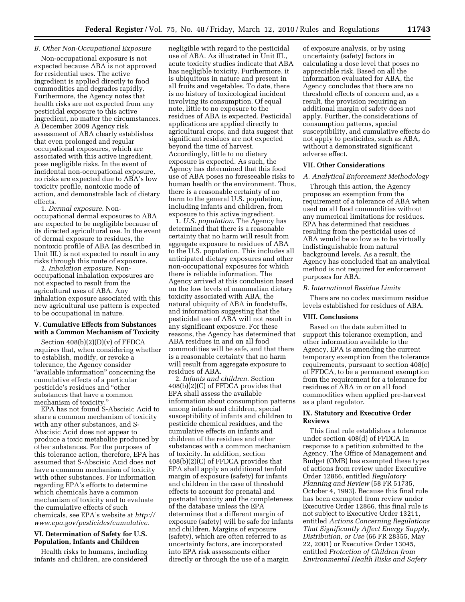# *B. Other Non-Occupational Exposure*

Non-occupational exposure is not expected because ABA is not approved for residential uses. The active ingredient is applied directly to food commodities and degrades rapidly. Furthermore, the Agency notes that health risks are not expected from any pesticidal exposure to this active ingredient, no matter the circumstances. A December 2009 Agency risk assessment of ABA clearly establishes that even prolonged and regular occupational exposures, which are associated with this active ingredient, pose negligible risks. In the event of incidental non-occupational exposure, no risks are expected due to ABA's low toxicity profile, nontoxic mode of action, and demonstrable lack of dietary effects.

1. *Dermal exposure*. Nonoccupational dermal exposures to ABA are expected to be negligible because of its directed agricultural use. In the event of dermal exposure to residues, the nontoxic profile of ABA (as described in Unit III.) is not expected to result in any risks through this route of exposure.

2. *Inhalation exposure*. Nonoccupational inhalation exposures are not expected to result from the agricultural uses of ABA. Any inhalation exposure associated with this new agricultural use pattern is expected to be occupational in nature.

# **V. Cumulative Effects from Substances with a Common Mechanism of Toxicity**

Section 408(b)(2)(D)(v) of FFDCA requires that, when considering whether to establish, modify, or revoke a tolerance, the Agency consider "available information" concerning the cumulative effects of a particular pesticide's residues and ''other substances that have a common mechanism of toxicity.''

EPA has not found S-Abscisic Acid to share a common mechanism of toxicity with any other substances, and S-Abscisic Acid does not appear to produce a toxic metabolite produced by other substances. For the purposes of this tolerance action, therefore, EPA has assumed that S-Abscisic Acid does not have a common mechanism of toxicity with other substances. For information regarding EPA's efforts to determine which chemicals have a common mechanism of toxicity and to evaluate the cumulative effects of such chemicals, see EPA's website at *http:// www.epa.gov/pesticides/cumulative*.

# **VI. Determination of Safety for U.S. Population, Infants and Children**

Health risks to humans, including infants and children, are considered

negligible with regard to the pesticidal use of ABA. As illustrated in Unit III., acute toxicity studies indicate that ABA has negligible toxicity. Furthermore, it is ubiquitous in nature and present in all fruits and vegetables. To date, there is no history of toxicological incident involving its consumption. Of equal note, little to no exposure to the residues of ABA is expected. Pesticidal applications are applied directly to agricultural crops, and data suggest that significant residues are not expected beyond the time of harvest. Accordingly, little to no dietary exposure is expected. As such, the Agency has determined that this food use of ABA poses no foreseeable risks to human health or the environment. Thus, there is a reasonable certainty of no harm to the general U.S. population, including infants and children, from exposure to this active ingredient.

1. *U.S. population*. The Agency has determined that there is a reasonable certainty that no harm will result from aggregate exposure to residues of ABA to the U.S. population. This includes all anticipated dietary exposures and other non-occupational exposures for which there is reliable information. The Agency arrived at this conclusion based on the low levels of mammalian dietary toxicity associated with ABA, the natural ubiquity of ABA in foodstuffs, and information suggesting that the pesticidal use of ABA will not result in any significant exposure. For these reasons, the Agency has determined that ABA residues in and on all food commodities will be safe, and that there is a reasonable certainty that no harm will result from aggregate exposure to residues of ABA.

2. *Infants and children*. Section 408(b)(2)(C) of FFDCA provides that EPA shall assess the available information about consumption patterns among infants and children, special susceptibility of infants and children to pesticide chemical residues, and the cumulative effects on infants and children of the residues and other substances with a common mechanism of toxicity. In addition, section  $408(b)(2)(C)$  of FFDCA provides that EPA shall apply an additional tenfold margin of exposure (safety) for infants and children in the case of threshold effects to account for prenatal and postnatal toxicity and the completeness of the database unless the EPA determines that a different margin of exposure (safety) will be safe for infants and children. Margins of exposure (safety), which are often referred to as uncertainty factors, are incorporated into EPA risk assessments either directly or through the use of a margin

of exposure analysis, or by using uncertainty (safety) factors in calculating a dose level that poses no appreciable risk. Based on all the information evaluated for ABA, the Agency concludes that there are no threshold effects of concern and, as a result, the provision requiring an additional margin of safety does not apply. Further, the considerations of consumption patterns, special susceptibility, and cumulative effects do not apply to pesticides, such as ABA, without a demonstrated significant adverse effect.

# **VII. Other Considerations**

### *A. Analytical Enforcement Methodology*

Through this action, the Agency proposes an exemption from the requirement of a tolerance of ABA when used on all food commodities without any numerical limitations for residues. EPA has determined that residues resulting from the pesticidal uses of ABA would be so low as to be virtually indistinguishable from natural background levels. As a result, the Agency has concluded that an analytical method is not required for enforcement purposes for ABA.

#### *B. International Residue Limits*

There are no codex maximum residue levels established for residues of ABA.

# **VIII. Conclusions**

Based on the data submitted to support this tolerance exemption, and other information available to the Agency, EPA is amending the current temporary exemption from the tolerance requirements, pursuant to section 408(c) of FFDCA, to be a permanent exemption from the requirement for a tolerance for residues of ABA in or on all food commodities when applied pre-harvest as a plant regulator.

## **IX. Statutory and Executive Order Reviews**

This final rule establishes a tolerance under section 408(d) of FFDCA in response to a petition submitted to the Agency. The Office of Management and Budget (OMB) has exempted these types of actions from review under Executive Order 12866, entitled *Regulatory Planning and Review* (58 FR 51735, October 4, 1993). Because this final rule has been exempted from review under Executive Order 12866, this final rule is not subject to Executive Order 13211, entitled *Actions Concerning Regulations That Significantly Affect Energy Supply, Distribution, or Use* (66 FR 28355, May 22, 2001) or Executive Order 13045, entitled *Protection of Children from Environmental Health Risks and Safety*